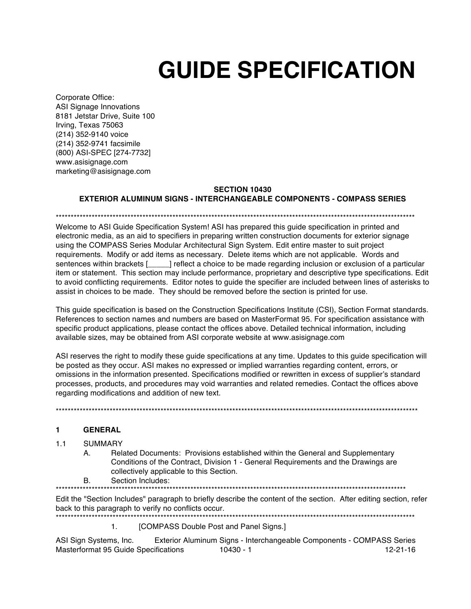# **GUIDE SPECIFICATION**

Corporate Office: ASI Signage Innovations 8181 Jetstar Drive, Suite 100 Irving, Texas 75063 (214) 352-9140 voice (214) 352-9741 facsimile (800) ASI-SPEC [274-7732] www.asisignage.com marketing@asisignage.com

## **SECTION 10430**

## **EXTERIOR ALUMINUM SIGNS - INTERCHANGEABLE COMPONENTS - COMPASS SERIES**

\*\*\*\*\*\*\*\*\*\*\*\*\*\*\*\*\*\*\*\*\*\*\*

Welcome to ASI Guide Specification System! ASI has prepared this quide specification in printed and electronic media, as an aid to specifiers in preparing written construction documents for exterior signage using the COMPASS Series Modular Architectural Sign System. Edit entire master to suit project requirements. Modify or add items as necessary. Delete items which are not applicable. Words and sentences within brackets [\_\_\_\_] reflect a choice to be made regarding inclusion or exclusion of a particular item or statement. This section may include performance, proprietary and descriptive type specifications. Edit to avoid conflicting requirements. Editor notes to guide the specifier are included between lines of asterisks to assist in choices to be made. They should be removed before the section is printed for use.

This guide specification is based on the Construction Specifications Institute (CSI), Section Format standards. References to section names and numbers are based on MasterFormat 95. For specification assistance with specific product applications, please contact the offices above. Detailed technical information, including available sizes, may be obtained from ASI corporate website at www.asisignage.com

ASI reserves the right to modify these guide specifications at any time. Updates to this guide specification will be posted as they occur. ASI makes no expressed or implied warranties regarding content, errors, or omissions in the information presented. Specifications modified or rewritten in excess of supplier's standard processes, products, and procedures may void warranties and related remedies. Contact the offices above regarding modifications and addition of new text.

### $\blacksquare$ **GENERAL**

#### $1.1$ **SUMMARY**

Related Documents: Provisions established within the General and Supplementary А. Conditions of the Contract, Division 1 - General Requirements and the Drawings are collectively applicable to this Section.

Section Includes: B.

Edit the "Section Includes" paragraph to briefly describe the content of the section. After editing section, refer back to this paragraph to verify no conflicts occur. 

### [COMPASS Double Post and Panel Signs.]  $1.$

Exterior Aluminum Signs - Interchangeable Components - COMPASS Series ASI Sign Systems, Inc. Masterformat 95 Guide Specifications  $10430 - 1$  $12 - 21 - 16$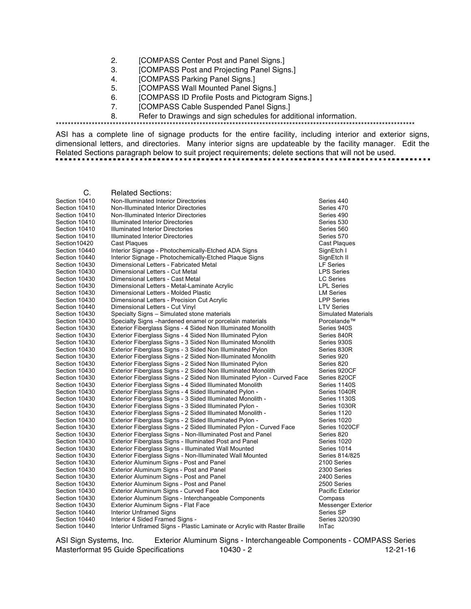- 2. [COMPASS Center Post and Panel Signs.]
- 3. [COMPASS Post and Projecting Panel Signs.]
- 4. [COMPASS Parking Panel Signs.]
- 5. [COMPASS Wall Mounted Panel Signs.]
- 6. [COMPASS ID Profile Posts and Pictogram Signs.]
- 7. [COMPASS Cable Suspended Panel Signs.]

8. Refer to Drawings and sign schedules for additional information.

\*\*\*\*\*\*\*\*\*\*\*\*\*\*\*\*\*\*\*\*\*\*\*\*\*\*\*\*\*\*\*\*\*\*\*\*\*\*\*\*\*\*\*\*\*\*\*\*\*\*\*\*\*\*\*\*\*\*\*\*\*\*\*\*\*\*\*\*\*\*\*\*\*\*\*\*\*\*\*\*\*\*\*\*\*\*\*\*\*\*\*\*\*\*\*\*\*\*\*\*\*\*\*\*\*\*\*\*\*\*\*\*\*\*\*\*\*\*\*\*

ASI has a complete line of signage products for the entire facility, including interior and exterior signs, dimensional letters, and directories. Many interior signs are updateable by the facility manager. Edit the Related Sections paragraph below to suit project requirements; delete sections that will not be used.

| Section 10410<br>Non-Illuminated Interior Directories<br>Series 440<br>Section 10410<br>Non-Illuminated Interior Directories<br>Series 470<br>Section 10410<br>Non-Illuminated Interior Directories<br>Series 490<br>Section 10410<br><b>Illuminated Interior Directories</b><br>Series 530<br><b>Illuminated Interior Directories</b><br>Section 10410<br>Series 560<br>Section 10410<br><b>Illuminated Interior Directories</b><br>Series 570<br>Section 10420<br><b>Cast Plaques</b><br>Cast Plaques<br>Section 10440<br>Interior Signage - Photochemically-Etched ADA Signs<br>SignEtch I<br>Interior Signage - Photochemically-Etched Plaque Signs<br>Section 10440<br>SignEtch II<br><b>LF Series</b><br>Section 10430<br>Dimensional Letters - Fabricated Metal<br>Section 10430<br>Dimensional Letters - Cut Metal<br><b>LPS Series</b><br>Section 10430<br>Dimensional Letters - Cast Metal<br><b>LC Series</b><br>Section 10430<br>Dimensional Letters - Metal-Laminate Acrylic<br><b>LPL Series</b><br>Section 10430<br>Dimensional Letters - Molded Plastic<br><b>LM Series</b><br>Section 10430<br>Dimensional Letters - Precision Cut Acrylic<br><b>LPP Series</b><br><b>LTV Series</b><br>Section 10440<br>Dimensional Letters - Cut Vinyl<br>Section 10430<br>Specialty Signs - Simulated stone materials<br><b>Simulated Materials</b><br>Specialty Signs -hardened enamel or porcelain materials<br>Section 10430<br>Porcelande™<br>Exterior Fiberglass Signs - 4 Sided Non Illuminated Monolith<br>Section 10430<br>Series 940S<br>Section 10430<br>Exterior Fiberglass Signs - 4 Sided Non Illuminated Pylon<br>Series 840R<br>Exterior Fiberglass Signs - 3 Sided Non Illuminated Monolith<br>Section 10430<br>Series 930S<br>Exterior Fiberglass Signs - 3 Sided Non Illuminated Pylon<br>Section 10430<br>Series 830R<br>Section 10430<br>Exterior Fiberglass Signs - 2 Sided Non-Illuminated Monolith<br>Series 920<br>Section 10430<br>Exterior Fiberglass Signs - 2 Sided Non Illuminated Pylon<br>Series 820<br>Section 10430<br>Exterior Fiberglass Signs - 2 Sided Non Illuminated Monolith<br>Series 920CF<br>Exterior Fiberglass Signs - 2 Sided Non Illuminated Pylon - Curved Face<br>Section 10430<br>Series 820CF<br>Section 10430<br>Exterior Fiberglass Signs - 4 Sided Illuminated Monolith<br>Series 1140S<br>Exterior Fiberglass Signs - 4 Sided Illuminated Pylon -<br>Section 10430<br>Series 1040R<br>Exterior Fiberglass Signs - 3 Sided Illuminated Monolith -<br>Series 1130S<br>Section 10430<br>Exterior Fiberglass Signs - 3 Sided Illuminated Pylon -<br>Series 1030R<br>Section 10430<br>Exterior Fiberglass Signs - 2 Sided Illuminated Monolith -<br>Section 10430<br>Series 1120<br>Exterior Fiberglass Signs - 2 Sided Illuminated Pylon -<br>Section 10430<br>Series 1020<br>Section 10430<br>Exterior Fiberglass Signs - 2 Sided Illuminated Pylon - Curved Face<br>Series 1020CF<br>Exterior Fiberglass Signs - Non-Illuminated Post and Panel<br>Section 10430<br>Series 820<br>Section 10430<br>Exterior Fiberglass Signs - Illuminated Post and Panel<br>Series 1020<br>Section 10430<br>Exterior Fiberglass Signs - Illuminated Wall Mounted<br>Series 1014<br>Section 10430<br>Exterior Fiberglass Signs - Non-Illuminated Wall Mounted<br>Series 814/825<br>Exterior Aluminum Signs - Post and Panel<br>Section 10430<br>2100 Series<br>Section 10430<br>Exterior Aluminum Signs - Post and Panel<br>2300 Series<br>Section 10430<br>Exterior Aluminum Signs - Post and Panel<br>2400 Series<br>Exterior Aluminum Signs - Post and Panel<br>2500 Series<br>Section 10430<br>Exterior Aluminum Signs - Curved Face<br><b>Pacific Exterior</b><br>Section 10430<br>Section 10430<br>Exterior Aluminum Signs - Interchangeable Components<br>Compass<br>Section 10430<br>Exterior Aluminum Signs - Flat Face<br><b>Messenger Exterior</b><br><b>Interior Unframed Signs</b><br>Series SP<br>Section 10440<br>Section 10440<br>Interior 4 Sided Framed Signs -<br>Series 320/390<br>Interior Unframed Signs - Plastic Laminate or Acrylic with Raster Braille<br>Section 10440<br><b>InTac</b> | C. | <b>Related Sections:</b> |  |
|------------------------------------------------------------------------------------------------------------------------------------------------------------------------------------------------------------------------------------------------------------------------------------------------------------------------------------------------------------------------------------------------------------------------------------------------------------------------------------------------------------------------------------------------------------------------------------------------------------------------------------------------------------------------------------------------------------------------------------------------------------------------------------------------------------------------------------------------------------------------------------------------------------------------------------------------------------------------------------------------------------------------------------------------------------------------------------------------------------------------------------------------------------------------------------------------------------------------------------------------------------------------------------------------------------------------------------------------------------------------------------------------------------------------------------------------------------------------------------------------------------------------------------------------------------------------------------------------------------------------------------------------------------------------------------------------------------------------------------------------------------------------------------------------------------------------------------------------------------------------------------------------------------------------------------------------------------------------------------------------------------------------------------------------------------------------------------------------------------------------------------------------------------------------------------------------------------------------------------------------------------------------------------------------------------------------------------------------------------------------------------------------------------------------------------------------------------------------------------------------------------------------------------------------------------------------------------------------------------------------------------------------------------------------------------------------------------------------------------------------------------------------------------------------------------------------------------------------------------------------------------------------------------------------------------------------------------------------------------------------------------------------------------------------------------------------------------------------------------------------------------------------------------------------------------------------------------------------------------------------------------------------------------------------------------------------------------------------------------------------------------------------------------------------------------------------------------------------------------------------------------------------------------------------------------------------------------------------------------------------------------------------------------------------------------------------------------------------------------------------------------------------------------------------------------------------------------------------------------------------------------------------------------------------------------------------------------------------------------------------------------------------------------------------------------------------------------------------------------------------------------------------------------|----|--------------------------|--|
|                                                                                                                                                                                                                                                                                                                                                                                                                                                                                                                                                                                                                                                                                                                                                                                                                                                                                                                                                                                                                                                                                                                                                                                                                                                                                                                                                                                                                                                                                                                                                                                                                                                                                                                                                                                                                                                                                                                                                                                                                                                                                                                                                                                                                                                                                                                                                                                                                                                                                                                                                                                                                                                                                                                                                                                                                                                                                                                                                                                                                                                                                                                                                                                                                                                                                                                                                                                                                                                                                                                                                                                                                                                                                                                                                                                                                                                                                                                                                                                                                                                                                                                                                            |    |                          |  |
|                                                                                                                                                                                                                                                                                                                                                                                                                                                                                                                                                                                                                                                                                                                                                                                                                                                                                                                                                                                                                                                                                                                                                                                                                                                                                                                                                                                                                                                                                                                                                                                                                                                                                                                                                                                                                                                                                                                                                                                                                                                                                                                                                                                                                                                                                                                                                                                                                                                                                                                                                                                                                                                                                                                                                                                                                                                                                                                                                                                                                                                                                                                                                                                                                                                                                                                                                                                                                                                                                                                                                                                                                                                                                                                                                                                                                                                                                                                                                                                                                                                                                                                                                            |    |                          |  |
|                                                                                                                                                                                                                                                                                                                                                                                                                                                                                                                                                                                                                                                                                                                                                                                                                                                                                                                                                                                                                                                                                                                                                                                                                                                                                                                                                                                                                                                                                                                                                                                                                                                                                                                                                                                                                                                                                                                                                                                                                                                                                                                                                                                                                                                                                                                                                                                                                                                                                                                                                                                                                                                                                                                                                                                                                                                                                                                                                                                                                                                                                                                                                                                                                                                                                                                                                                                                                                                                                                                                                                                                                                                                                                                                                                                                                                                                                                                                                                                                                                                                                                                                                            |    |                          |  |
|                                                                                                                                                                                                                                                                                                                                                                                                                                                                                                                                                                                                                                                                                                                                                                                                                                                                                                                                                                                                                                                                                                                                                                                                                                                                                                                                                                                                                                                                                                                                                                                                                                                                                                                                                                                                                                                                                                                                                                                                                                                                                                                                                                                                                                                                                                                                                                                                                                                                                                                                                                                                                                                                                                                                                                                                                                                                                                                                                                                                                                                                                                                                                                                                                                                                                                                                                                                                                                                                                                                                                                                                                                                                                                                                                                                                                                                                                                                                                                                                                                                                                                                                                            |    |                          |  |
|                                                                                                                                                                                                                                                                                                                                                                                                                                                                                                                                                                                                                                                                                                                                                                                                                                                                                                                                                                                                                                                                                                                                                                                                                                                                                                                                                                                                                                                                                                                                                                                                                                                                                                                                                                                                                                                                                                                                                                                                                                                                                                                                                                                                                                                                                                                                                                                                                                                                                                                                                                                                                                                                                                                                                                                                                                                                                                                                                                                                                                                                                                                                                                                                                                                                                                                                                                                                                                                                                                                                                                                                                                                                                                                                                                                                                                                                                                                                                                                                                                                                                                                                                            |    |                          |  |
|                                                                                                                                                                                                                                                                                                                                                                                                                                                                                                                                                                                                                                                                                                                                                                                                                                                                                                                                                                                                                                                                                                                                                                                                                                                                                                                                                                                                                                                                                                                                                                                                                                                                                                                                                                                                                                                                                                                                                                                                                                                                                                                                                                                                                                                                                                                                                                                                                                                                                                                                                                                                                                                                                                                                                                                                                                                                                                                                                                                                                                                                                                                                                                                                                                                                                                                                                                                                                                                                                                                                                                                                                                                                                                                                                                                                                                                                                                                                                                                                                                                                                                                                                            |    |                          |  |
|                                                                                                                                                                                                                                                                                                                                                                                                                                                                                                                                                                                                                                                                                                                                                                                                                                                                                                                                                                                                                                                                                                                                                                                                                                                                                                                                                                                                                                                                                                                                                                                                                                                                                                                                                                                                                                                                                                                                                                                                                                                                                                                                                                                                                                                                                                                                                                                                                                                                                                                                                                                                                                                                                                                                                                                                                                                                                                                                                                                                                                                                                                                                                                                                                                                                                                                                                                                                                                                                                                                                                                                                                                                                                                                                                                                                                                                                                                                                                                                                                                                                                                                                                            |    |                          |  |
|                                                                                                                                                                                                                                                                                                                                                                                                                                                                                                                                                                                                                                                                                                                                                                                                                                                                                                                                                                                                                                                                                                                                                                                                                                                                                                                                                                                                                                                                                                                                                                                                                                                                                                                                                                                                                                                                                                                                                                                                                                                                                                                                                                                                                                                                                                                                                                                                                                                                                                                                                                                                                                                                                                                                                                                                                                                                                                                                                                                                                                                                                                                                                                                                                                                                                                                                                                                                                                                                                                                                                                                                                                                                                                                                                                                                                                                                                                                                                                                                                                                                                                                                                            |    |                          |  |
|                                                                                                                                                                                                                                                                                                                                                                                                                                                                                                                                                                                                                                                                                                                                                                                                                                                                                                                                                                                                                                                                                                                                                                                                                                                                                                                                                                                                                                                                                                                                                                                                                                                                                                                                                                                                                                                                                                                                                                                                                                                                                                                                                                                                                                                                                                                                                                                                                                                                                                                                                                                                                                                                                                                                                                                                                                                                                                                                                                                                                                                                                                                                                                                                                                                                                                                                                                                                                                                                                                                                                                                                                                                                                                                                                                                                                                                                                                                                                                                                                                                                                                                                                            |    |                          |  |
|                                                                                                                                                                                                                                                                                                                                                                                                                                                                                                                                                                                                                                                                                                                                                                                                                                                                                                                                                                                                                                                                                                                                                                                                                                                                                                                                                                                                                                                                                                                                                                                                                                                                                                                                                                                                                                                                                                                                                                                                                                                                                                                                                                                                                                                                                                                                                                                                                                                                                                                                                                                                                                                                                                                                                                                                                                                                                                                                                                                                                                                                                                                                                                                                                                                                                                                                                                                                                                                                                                                                                                                                                                                                                                                                                                                                                                                                                                                                                                                                                                                                                                                                                            |    |                          |  |
|                                                                                                                                                                                                                                                                                                                                                                                                                                                                                                                                                                                                                                                                                                                                                                                                                                                                                                                                                                                                                                                                                                                                                                                                                                                                                                                                                                                                                                                                                                                                                                                                                                                                                                                                                                                                                                                                                                                                                                                                                                                                                                                                                                                                                                                                                                                                                                                                                                                                                                                                                                                                                                                                                                                                                                                                                                                                                                                                                                                                                                                                                                                                                                                                                                                                                                                                                                                                                                                                                                                                                                                                                                                                                                                                                                                                                                                                                                                                                                                                                                                                                                                                                            |    |                          |  |
|                                                                                                                                                                                                                                                                                                                                                                                                                                                                                                                                                                                                                                                                                                                                                                                                                                                                                                                                                                                                                                                                                                                                                                                                                                                                                                                                                                                                                                                                                                                                                                                                                                                                                                                                                                                                                                                                                                                                                                                                                                                                                                                                                                                                                                                                                                                                                                                                                                                                                                                                                                                                                                                                                                                                                                                                                                                                                                                                                                                                                                                                                                                                                                                                                                                                                                                                                                                                                                                                                                                                                                                                                                                                                                                                                                                                                                                                                                                                                                                                                                                                                                                                                            |    |                          |  |
|                                                                                                                                                                                                                                                                                                                                                                                                                                                                                                                                                                                                                                                                                                                                                                                                                                                                                                                                                                                                                                                                                                                                                                                                                                                                                                                                                                                                                                                                                                                                                                                                                                                                                                                                                                                                                                                                                                                                                                                                                                                                                                                                                                                                                                                                                                                                                                                                                                                                                                                                                                                                                                                                                                                                                                                                                                                                                                                                                                                                                                                                                                                                                                                                                                                                                                                                                                                                                                                                                                                                                                                                                                                                                                                                                                                                                                                                                                                                                                                                                                                                                                                                                            |    |                          |  |
|                                                                                                                                                                                                                                                                                                                                                                                                                                                                                                                                                                                                                                                                                                                                                                                                                                                                                                                                                                                                                                                                                                                                                                                                                                                                                                                                                                                                                                                                                                                                                                                                                                                                                                                                                                                                                                                                                                                                                                                                                                                                                                                                                                                                                                                                                                                                                                                                                                                                                                                                                                                                                                                                                                                                                                                                                                                                                                                                                                                                                                                                                                                                                                                                                                                                                                                                                                                                                                                                                                                                                                                                                                                                                                                                                                                                                                                                                                                                                                                                                                                                                                                                                            |    |                          |  |
|                                                                                                                                                                                                                                                                                                                                                                                                                                                                                                                                                                                                                                                                                                                                                                                                                                                                                                                                                                                                                                                                                                                                                                                                                                                                                                                                                                                                                                                                                                                                                                                                                                                                                                                                                                                                                                                                                                                                                                                                                                                                                                                                                                                                                                                                                                                                                                                                                                                                                                                                                                                                                                                                                                                                                                                                                                                                                                                                                                                                                                                                                                                                                                                                                                                                                                                                                                                                                                                                                                                                                                                                                                                                                                                                                                                                                                                                                                                                                                                                                                                                                                                                                            |    |                          |  |
|                                                                                                                                                                                                                                                                                                                                                                                                                                                                                                                                                                                                                                                                                                                                                                                                                                                                                                                                                                                                                                                                                                                                                                                                                                                                                                                                                                                                                                                                                                                                                                                                                                                                                                                                                                                                                                                                                                                                                                                                                                                                                                                                                                                                                                                                                                                                                                                                                                                                                                                                                                                                                                                                                                                                                                                                                                                                                                                                                                                                                                                                                                                                                                                                                                                                                                                                                                                                                                                                                                                                                                                                                                                                                                                                                                                                                                                                                                                                                                                                                                                                                                                                                            |    |                          |  |
|                                                                                                                                                                                                                                                                                                                                                                                                                                                                                                                                                                                                                                                                                                                                                                                                                                                                                                                                                                                                                                                                                                                                                                                                                                                                                                                                                                                                                                                                                                                                                                                                                                                                                                                                                                                                                                                                                                                                                                                                                                                                                                                                                                                                                                                                                                                                                                                                                                                                                                                                                                                                                                                                                                                                                                                                                                                                                                                                                                                                                                                                                                                                                                                                                                                                                                                                                                                                                                                                                                                                                                                                                                                                                                                                                                                                                                                                                                                                                                                                                                                                                                                                                            |    |                          |  |
|                                                                                                                                                                                                                                                                                                                                                                                                                                                                                                                                                                                                                                                                                                                                                                                                                                                                                                                                                                                                                                                                                                                                                                                                                                                                                                                                                                                                                                                                                                                                                                                                                                                                                                                                                                                                                                                                                                                                                                                                                                                                                                                                                                                                                                                                                                                                                                                                                                                                                                                                                                                                                                                                                                                                                                                                                                                                                                                                                                                                                                                                                                                                                                                                                                                                                                                                                                                                                                                                                                                                                                                                                                                                                                                                                                                                                                                                                                                                                                                                                                                                                                                                                            |    |                          |  |
|                                                                                                                                                                                                                                                                                                                                                                                                                                                                                                                                                                                                                                                                                                                                                                                                                                                                                                                                                                                                                                                                                                                                                                                                                                                                                                                                                                                                                                                                                                                                                                                                                                                                                                                                                                                                                                                                                                                                                                                                                                                                                                                                                                                                                                                                                                                                                                                                                                                                                                                                                                                                                                                                                                                                                                                                                                                                                                                                                                                                                                                                                                                                                                                                                                                                                                                                                                                                                                                                                                                                                                                                                                                                                                                                                                                                                                                                                                                                                                                                                                                                                                                                                            |    |                          |  |
|                                                                                                                                                                                                                                                                                                                                                                                                                                                                                                                                                                                                                                                                                                                                                                                                                                                                                                                                                                                                                                                                                                                                                                                                                                                                                                                                                                                                                                                                                                                                                                                                                                                                                                                                                                                                                                                                                                                                                                                                                                                                                                                                                                                                                                                                                                                                                                                                                                                                                                                                                                                                                                                                                                                                                                                                                                                                                                                                                                                                                                                                                                                                                                                                                                                                                                                                                                                                                                                                                                                                                                                                                                                                                                                                                                                                                                                                                                                                                                                                                                                                                                                                                            |    |                          |  |
|                                                                                                                                                                                                                                                                                                                                                                                                                                                                                                                                                                                                                                                                                                                                                                                                                                                                                                                                                                                                                                                                                                                                                                                                                                                                                                                                                                                                                                                                                                                                                                                                                                                                                                                                                                                                                                                                                                                                                                                                                                                                                                                                                                                                                                                                                                                                                                                                                                                                                                                                                                                                                                                                                                                                                                                                                                                                                                                                                                                                                                                                                                                                                                                                                                                                                                                                                                                                                                                                                                                                                                                                                                                                                                                                                                                                                                                                                                                                                                                                                                                                                                                                                            |    |                          |  |
|                                                                                                                                                                                                                                                                                                                                                                                                                                                                                                                                                                                                                                                                                                                                                                                                                                                                                                                                                                                                                                                                                                                                                                                                                                                                                                                                                                                                                                                                                                                                                                                                                                                                                                                                                                                                                                                                                                                                                                                                                                                                                                                                                                                                                                                                                                                                                                                                                                                                                                                                                                                                                                                                                                                                                                                                                                                                                                                                                                                                                                                                                                                                                                                                                                                                                                                                                                                                                                                                                                                                                                                                                                                                                                                                                                                                                                                                                                                                                                                                                                                                                                                                                            |    |                          |  |
|                                                                                                                                                                                                                                                                                                                                                                                                                                                                                                                                                                                                                                                                                                                                                                                                                                                                                                                                                                                                                                                                                                                                                                                                                                                                                                                                                                                                                                                                                                                                                                                                                                                                                                                                                                                                                                                                                                                                                                                                                                                                                                                                                                                                                                                                                                                                                                                                                                                                                                                                                                                                                                                                                                                                                                                                                                                                                                                                                                                                                                                                                                                                                                                                                                                                                                                                                                                                                                                                                                                                                                                                                                                                                                                                                                                                                                                                                                                                                                                                                                                                                                                                                            |    |                          |  |
|                                                                                                                                                                                                                                                                                                                                                                                                                                                                                                                                                                                                                                                                                                                                                                                                                                                                                                                                                                                                                                                                                                                                                                                                                                                                                                                                                                                                                                                                                                                                                                                                                                                                                                                                                                                                                                                                                                                                                                                                                                                                                                                                                                                                                                                                                                                                                                                                                                                                                                                                                                                                                                                                                                                                                                                                                                                                                                                                                                                                                                                                                                                                                                                                                                                                                                                                                                                                                                                                                                                                                                                                                                                                                                                                                                                                                                                                                                                                                                                                                                                                                                                                                            |    |                          |  |
|                                                                                                                                                                                                                                                                                                                                                                                                                                                                                                                                                                                                                                                                                                                                                                                                                                                                                                                                                                                                                                                                                                                                                                                                                                                                                                                                                                                                                                                                                                                                                                                                                                                                                                                                                                                                                                                                                                                                                                                                                                                                                                                                                                                                                                                                                                                                                                                                                                                                                                                                                                                                                                                                                                                                                                                                                                                                                                                                                                                                                                                                                                                                                                                                                                                                                                                                                                                                                                                                                                                                                                                                                                                                                                                                                                                                                                                                                                                                                                                                                                                                                                                                                            |    |                          |  |
|                                                                                                                                                                                                                                                                                                                                                                                                                                                                                                                                                                                                                                                                                                                                                                                                                                                                                                                                                                                                                                                                                                                                                                                                                                                                                                                                                                                                                                                                                                                                                                                                                                                                                                                                                                                                                                                                                                                                                                                                                                                                                                                                                                                                                                                                                                                                                                                                                                                                                                                                                                                                                                                                                                                                                                                                                                                                                                                                                                                                                                                                                                                                                                                                                                                                                                                                                                                                                                                                                                                                                                                                                                                                                                                                                                                                                                                                                                                                                                                                                                                                                                                                                            |    |                          |  |
|                                                                                                                                                                                                                                                                                                                                                                                                                                                                                                                                                                                                                                                                                                                                                                                                                                                                                                                                                                                                                                                                                                                                                                                                                                                                                                                                                                                                                                                                                                                                                                                                                                                                                                                                                                                                                                                                                                                                                                                                                                                                                                                                                                                                                                                                                                                                                                                                                                                                                                                                                                                                                                                                                                                                                                                                                                                                                                                                                                                                                                                                                                                                                                                                                                                                                                                                                                                                                                                                                                                                                                                                                                                                                                                                                                                                                                                                                                                                                                                                                                                                                                                                                            |    |                          |  |
|                                                                                                                                                                                                                                                                                                                                                                                                                                                                                                                                                                                                                                                                                                                                                                                                                                                                                                                                                                                                                                                                                                                                                                                                                                                                                                                                                                                                                                                                                                                                                                                                                                                                                                                                                                                                                                                                                                                                                                                                                                                                                                                                                                                                                                                                                                                                                                                                                                                                                                                                                                                                                                                                                                                                                                                                                                                                                                                                                                                                                                                                                                                                                                                                                                                                                                                                                                                                                                                                                                                                                                                                                                                                                                                                                                                                                                                                                                                                                                                                                                                                                                                                                            |    |                          |  |
|                                                                                                                                                                                                                                                                                                                                                                                                                                                                                                                                                                                                                                                                                                                                                                                                                                                                                                                                                                                                                                                                                                                                                                                                                                                                                                                                                                                                                                                                                                                                                                                                                                                                                                                                                                                                                                                                                                                                                                                                                                                                                                                                                                                                                                                                                                                                                                                                                                                                                                                                                                                                                                                                                                                                                                                                                                                                                                                                                                                                                                                                                                                                                                                                                                                                                                                                                                                                                                                                                                                                                                                                                                                                                                                                                                                                                                                                                                                                                                                                                                                                                                                                                            |    |                          |  |
|                                                                                                                                                                                                                                                                                                                                                                                                                                                                                                                                                                                                                                                                                                                                                                                                                                                                                                                                                                                                                                                                                                                                                                                                                                                                                                                                                                                                                                                                                                                                                                                                                                                                                                                                                                                                                                                                                                                                                                                                                                                                                                                                                                                                                                                                                                                                                                                                                                                                                                                                                                                                                                                                                                                                                                                                                                                                                                                                                                                                                                                                                                                                                                                                                                                                                                                                                                                                                                                                                                                                                                                                                                                                                                                                                                                                                                                                                                                                                                                                                                                                                                                                                            |    |                          |  |
|                                                                                                                                                                                                                                                                                                                                                                                                                                                                                                                                                                                                                                                                                                                                                                                                                                                                                                                                                                                                                                                                                                                                                                                                                                                                                                                                                                                                                                                                                                                                                                                                                                                                                                                                                                                                                                                                                                                                                                                                                                                                                                                                                                                                                                                                                                                                                                                                                                                                                                                                                                                                                                                                                                                                                                                                                                                                                                                                                                                                                                                                                                                                                                                                                                                                                                                                                                                                                                                                                                                                                                                                                                                                                                                                                                                                                                                                                                                                                                                                                                                                                                                                                            |    |                          |  |
|                                                                                                                                                                                                                                                                                                                                                                                                                                                                                                                                                                                                                                                                                                                                                                                                                                                                                                                                                                                                                                                                                                                                                                                                                                                                                                                                                                                                                                                                                                                                                                                                                                                                                                                                                                                                                                                                                                                                                                                                                                                                                                                                                                                                                                                                                                                                                                                                                                                                                                                                                                                                                                                                                                                                                                                                                                                                                                                                                                                                                                                                                                                                                                                                                                                                                                                                                                                                                                                                                                                                                                                                                                                                                                                                                                                                                                                                                                                                                                                                                                                                                                                                                            |    |                          |  |
|                                                                                                                                                                                                                                                                                                                                                                                                                                                                                                                                                                                                                                                                                                                                                                                                                                                                                                                                                                                                                                                                                                                                                                                                                                                                                                                                                                                                                                                                                                                                                                                                                                                                                                                                                                                                                                                                                                                                                                                                                                                                                                                                                                                                                                                                                                                                                                                                                                                                                                                                                                                                                                                                                                                                                                                                                                                                                                                                                                                                                                                                                                                                                                                                                                                                                                                                                                                                                                                                                                                                                                                                                                                                                                                                                                                                                                                                                                                                                                                                                                                                                                                                                            |    |                          |  |
|                                                                                                                                                                                                                                                                                                                                                                                                                                                                                                                                                                                                                                                                                                                                                                                                                                                                                                                                                                                                                                                                                                                                                                                                                                                                                                                                                                                                                                                                                                                                                                                                                                                                                                                                                                                                                                                                                                                                                                                                                                                                                                                                                                                                                                                                                                                                                                                                                                                                                                                                                                                                                                                                                                                                                                                                                                                                                                                                                                                                                                                                                                                                                                                                                                                                                                                                                                                                                                                                                                                                                                                                                                                                                                                                                                                                                                                                                                                                                                                                                                                                                                                                                            |    |                          |  |
|                                                                                                                                                                                                                                                                                                                                                                                                                                                                                                                                                                                                                                                                                                                                                                                                                                                                                                                                                                                                                                                                                                                                                                                                                                                                                                                                                                                                                                                                                                                                                                                                                                                                                                                                                                                                                                                                                                                                                                                                                                                                                                                                                                                                                                                                                                                                                                                                                                                                                                                                                                                                                                                                                                                                                                                                                                                                                                                                                                                                                                                                                                                                                                                                                                                                                                                                                                                                                                                                                                                                                                                                                                                                                                                                                                                                                                                                                                                                                                                                                                                                                                                                                            |    |                          |  |
|                                                                                                                                                                                                                                                                                                                                                                                                                                                                                                                                                                                                                                                                                                                                                                                                                                                                                                                                                                                                                                                                                                                                                                                                                                                                                                                                                                                                                                                                                                                                                                                                                                                                                                                                                                                                                                                                                                                                                                                                                                                                                                                                                                                                                                                                                                                                                                                                                                                                                                                                                                                                                                                                                                                                                                                                                                                                                                                                                                                                                                                                                                                                                                                                                                                                                                                                                                                                                                                                                                                                                                                                                                                                                                                                                                                                                                                                                                                                                                                                                                                                                                                                                            |    |                          |  |
|                                                                                                                                                                                                                                                                                                                                                                                                                                                                                                                                                                                                                                                                                                                                                                                                                                                                                                                                                                                                                                                                                                                                                                                                                                                                                                                                                                                                                                                                                                                                                                                                                                                                                                                                                                                                                                                                                                                                                                                                                                                                                                                                                                                                                                                                                                                                                                                                                                                                                                                                                                                                                                                                                                                                                                                                                                                                                                                                                                                                                                                                                                                                                                                                                                                                                                                                                                                                                                                                                                                                                                                                                                                                                                                                                                                                                                                                                                                                                                                                                                                                                                                                                            |    |                          |  |
|                                                                                                                                                                                                                                                                                                                                                                                                                                                                                                                                                                                                                                                                                                                                                                                                                                                                                                                                                                                                                                                                                                                                                                                                                                                                                                                                                                                                                                                                                                                                                                                                                                                                                                                                                                                                                                                                                                                                                                                                                                                                                                                                                                                                                                                                                                                                                                                                                                                                                                                                                                                                                                                                                                                                                                                                                                                                                                                                                                                                                                                                                                                                                                                                                                                                                                                                                                                                                                                                                                                                                                                                                                                                                                                                                                                                                                                                                                                                                                                                                                                                                                                                                            |    |                          |  |
|                                                                                                                                                                                                                                                                                                                                                                                                                                                                                                                                                                                                                                                                                                                                                                                                                                                                                                                                                                                                                                                                                                                                                                                                                                                                                                                                                                                                                                                                                                                                                                                                                                                                                                                                                                                                                                                                                                                                                                                                                                                                                                                                                                                                                                                                                                                                                                                                                                                                                                                                                                                                                                                                                                                                                                                                                                                                                                                                                                                                                                                                                                                                                                                                                                                                                                                                                                                                                                                                                                                                                                                                                                                                                                                                                                                                                                                                                                                                                                                                                                                                                                                                                            |    |                          |  |
|                                                                                                                                                                                                                                                                                                                                                                                                                                                                                                                                                                                                                                                                                                                                                                                                                                                                                                                                                                                                                                                                                                                                                                                                                                                                                                                                                                                                                                                                                                                                                                                                                                                                                                                                                                                                                                                                                                                                                                                                                                                                                                                                                                                                                                                                                                                                                                                                                                                                                                                                                                                                                                                                                                                                                                                                                                                                                                                                                                                                                                                                                                                                                                                                                                                                                                                                                                                                                                                                                                                                                                                                                                                                                                                                                                                                                                                                                                                                                                                                                                                                                                                                                            |    |                          |  |
|                                                                                                                                                                                                                                                                                                                                                                                                                                                                                                                                                                                                                                                                                                                                                                                                                                                                                                                                                                                                                                                                                                                                                                                                                                                                                                                                                                                                                                                                                                                                                                                                                                                                                                                                                                                                                                                                                                                                                                                                                                                                                                                                                                                                                                                                                                                                                                                                                                                                                                                                                                                                                                                                                                                                                                                                                                                                                                                                                                                                                                                                                                                                                                                                                                                                                                                                                                                                                                                                                                                                                                                                                                                                                                                                                                                                                                                                                                                                                                                                                                                                                                                                                            |    |                          |  |
|                                                                                                                                                                                                                                                                                                                                                                                                                                                                                                                                                                                                                                                                                                                                                                                                                                                                                                                                                                                                                                                                                                                                                                                                                                                                                                                                                                                                                                                                                                                                                                                                                                                                                                                                                                                                                                                                                                                                                                                                                                                                                                                                                                                                                                                                                                                                                                                                                                                                                                                                                                                                                                                                                                                                                                                                                                                                                                                                                                                                                                                                                                                                                                                                                                                                                                                                                                                                                                                                                                                                                                                                                                                                                                                                                                                                                                                                                                                                                                                                                                                                                                                                                            |    |                          |  |
|                                                                                                                                                                                                                                                                                                                                                                                                                                                                                                                                                                                                                                                                                                                                                                                                                                                                                                                                                                                                                                                                                                                                                                                                                                                                                                                                                                                                                                                                                                                                                                                                                                                                                                                                                                                                                                                                                                                                                                                                                                                                                                                                                                                                                                                                                                                                                                                                                                                                                                                                                                                                                                                                                                                                                                                                                                                                                                                                                                                                                                                                                                                                                                                                                                                                                                                                                                                                                                                                                                                                                                                                                                                                                                                                                                                                                                                                                                                                                                                                                                                                                                                                                            |    |                          |  |
|                                                                                                                                                                                                                                                                                                                                                                                                                                                                                                                                                                                                                                                                                                                                                                                                                                                                                                                                                                                                                                                                                                                                                                                                                                                                                                                                                                                                                                                                                                                                                                                                                                                                                                                                                                                                                                                                                                                                                                                                                                                                                                                                                                                                                                                                                                                                                                                                                                                                                                                                                                                                                                                                                                                                                                                                                                                                                                                                                                                                                                                                                                                                                                                                                                                                                                                                                                                                                                                                                                                                                                                                                                                                                                                                                                                                                                                                                                                                                                                                                                                                                                                                                            |    |                          |  |
|                                                                                                                                                                                                                                                                                                                                                                                                                                                                                                                                                                                                                                                                                                                                                                                                                                                                                                                                                                                                                                                                                                                                                                                                                                                                                                                                                                                                                                                                                                                                                                                                                                                                                                                                                                                                                                                                                                                                                                                                                                                                                                                                                                                                                                                                                                                                                                                                                                                                                                                                                                                                                                                                                                                                                                                                                                                                                                                                                                                                                                                                                                                                                                                                                                                                                                                                                                                                                                                                                                                                                                                                                                                                                                                                                                                                                                                                                                                                                                                                                                                                                                                                                            |    |                          |  |
|                                                                                                                                                                                                                                                                                                                                                                                                                                                                                                                                                                                                                                                                                                                                                                                                                                                                                                                                                                                                                                                                                                                                                                                                                                                                                                                                                                                                                                                                                                                                                                                                                                                                                                                                                                                                                                                                                                                                                                                                                                                                                                                                                                                                                                                                                                                                                                                                                                                                                                                                                                                                                                                                                                                                                                                                                                                                                                                                                                                                                                                                                                                                                                                                                                                                                                                                                                                                                                                                                                                                                                                                                                                                                                                                                                                                                                                                                                                                                                                                                                                                                                                                                            |    |                          |  |
|                                                                                                                                                                                                                                                                                                                                                                                                                                                                                                                                                                                                                                                                                                                                                                                                                                                                                                                                                                                                                                                                                                                                                                                                                                                                                                                                                                                                                                                                                                                                                                                                                                                                                                                                                                                                                                                                                                                                                                                                                                                                                                                                                                                                                                                                                                                                                                                                                                                                                                                                                                                                                                                                                                                                                                                                                                                                                                                                                                                                                                                                                                                                                                                                                                                                                                                                                                                                                                                                                                                                                                                                                                                                                                                                                                                                                                                                                                                                                                                                                                                                                                                                                            |    |                          |  |

ASI Sign Systems, Inc. Exterior Aluminum Signs - Interchangeable Components - COMPASS Series Masterformat 95 Guide Specifications 10430 - 2 12-21-16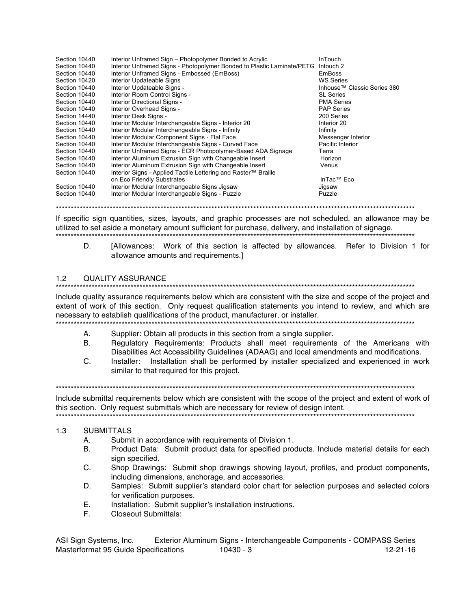| Section 10440 | Interior Unframed Sign - Photopolymer Bonded to Acrylic                | <b>InTouch</b>              |
|---------------|------------------------------------------------------------------------|-----------------------------|
| Section 10440 | Interior Unframed Signs - Photopolymer Bonded to Plastic Laminate/PETG | Intouch 2                   |
| Section 10440 | Interior Unframed Signs - Embossed (EmBoss)                            | <b>EmBoss</b>               |
| Section 10420 | Interior Updateable Signs                                              | WS Series                   |
| Section 10440 | Interior Updateable Signs -                                            | Inhouse™ Classic Series 380 |
| Section 10440 | Interior Room Control Signs -                                          | <b>SL Series</b>            |
| Section 10440 | Interior Directional Signs -                                           | <b>PMA Series</b>           |
| Section 10440 | Interior Overhead Signs -                                              | <b>PAP Series</b>           |
| Section 14440 | Interior Desk Signs -                                                  | 200 Series                  |
| Section 10440 | Interior Modular Interchangeable Signs - Interior 20                   | Interior 20                 |
| Section 10440 | Interior Modular Interchangeable Signs - Infinity                      | Infinity                    |
| Section 10440 | Interior Modular Component Signs - Flat Face                           | Messenger Interior          |
| Section 10440 | Interior Modular Interchangeable Signs - Curved Face                   | Pacific Interior            |
| Section 10440 | Interior Unframed Signs - ECR Photopolymer-Based ADA Signage           | Terra                       |
| Section 10440 | Interior Aluminum Extrusion Sign with Changeable Insert                | Horizon                     |
| Section 10440 | Interior Aluminum Extrusion Sign with Changeable Insert                | Venus                       |
| Section 10440 | Interior Signs - Applied Tactile Lettering and Raster™ Braille         |                             |
|               | on Eco Friendly Substrates                                             | InTac™ Eco                  |
| Section 10440 | Interior Modular Interchangeable Signs Jigsaw                          | Jigsaw                      |
| Section 10440 | Interior Modular Interchangeable Signs - Puzzle                        | Puzzle                      |

If specific sign quantities, sizes, layouts, and graphic processes are not scheduled, an allowance may be utilized to set aside a monetary amount sufficient for purchase, delivery, and installation of signage. 

[Allowances: Work of this section is affected by allowances. Refer to Division 1 for D. allowance amounts and requirements.]

#### $1.2$ **QUALITY ASSURANCE**

Include quality assurance requirements below which are consistent with the size and scope of the project and extent of work of this section. Only request qualification statements you intend to review, and which are necessary to establish qualifications of the product, manufacturer, or installer.

- А. Supplier: Obtain all products in this section from a single supplier.
- Requlatory Requirements: Products shall meet requirements of the Americans with **B.** Disabilities Act Accessibility Guidelines (ADAAG) and local amendments and modifications.
- Installer: Installation shall be performed by installer specialized and experienced in work  $C_{\cdot}$ similar to that required for this project.

Include submittal requirements below which are consistent with the scope of the project and extent of work of this section. Only request submittals which are necessary for review of design intent.

#### $1.3$ **SUBMITTALS**

- Submit in accordance with requirements of Division 1. А.
- **B.** Product Data: Submit product data for specified products. Include material details for each sign specified.
- Shop Drawings: Submit shop drawings showing layout, profiles, and product components, C. including dimensions, anchorage, and accessories.
- D. Samples: Submit supplier's standard color chart for selection purposes and selected colors for verification purposes.
- Installation: Submit supplier's installation instructions. Ε.
- F. **Closeout Submittals:**

ASI Sign Systems, Inc. Exterior Aluminum Signs - Interchangeable Components - COMPASS Series Masterformat 95 Guide Specifications 10430 - 3  $12 - 21 - 16$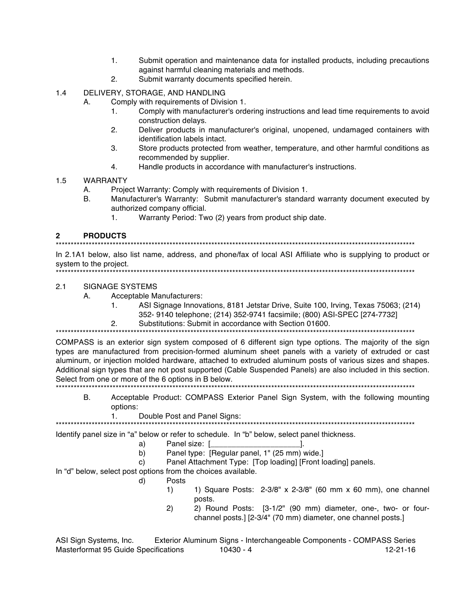- $1.$ Submit operation and maintenance data for installed products, including precautions against harmful cleaning materials and methods.
- Submit warranty documents specified herein.  $2.$

DELIVERY, STORAGE, AND HANDLING  $1.4$ 

- Comply with requirements of Division 1. А.
	- Comply with manufacturer's ordering instructions and lead time requirements to avoid 1. construction delays.
	- Deliver products in manufacturer's original, unopened, undamaged containers with  $2.$ identification labels intact.
	- 3. Store products protected from weather, temperature, and other harmful conditions as recommended by supplier.
	- $4<sup>1</sup>$ Handle products in accordance with manufacturer's instructions.
- $1.5$ **WARRANTY** 
	- А. Project Warranty: Comply with requirements of Division 1.
	- **B.** Manufacturer's Warranty: Submit manufacturer's standard warranty document executed by authorized company official.
		- Warranty Period: Two (2) years from product ship date.  $1<sub>1</sub>$

#### $\mathbf{2}$ **PRODUCTS**

In 2.1A1 below, also list name, address, and phone/fax of local ASI Affiliate who is supplying to product or system to the project. 

#### $2.1$ **SIGNAGE SYSTEMS**

- А. Acceptable Manufacturers:
	- $1<sub>1</sub>$ ASI Signage Innovations, 8181 Jetstar Drive, Suite 100, Irving, Texas 75063; (214) 352-9140 telephone: (214) 352-9741 facsimile: (800) ASI-SPEC [274-7732]
	- Substitutions: Submit in accordance with Section 01600.  $2<sub>1</sub>$

COMPASS is an exterior sign system composed of 6 different sign type options. The majority of the sign types are manufactured from precision-formed aluminum sheet panels with a variety of extruded or cast aluminum, or injection molded hardware, attached to extruded aluminum posts of various sizes and shapes. Additional sign types that are not post supported (Cable Suspended Panels) are also included in this section. Select from one or more of the 6 options in B below.

- B. Acceptable Product: COMPASS Exterior Panel Sign System, with the following mounting options:
	- $1.$ Double Post and Panel Signs:

Identify panel size in "a" below or refer to schedule. In "b" below, select panel thickness.

- Panel size: [  $a)$
- $b)$ Panel type: [Regular panel, 1" (25 mm) wide.]
- Panel Attachment Type: [Top loading] [Front loading] panels.  $\mathsf{C}$

In "d" below, select post options from the choices available.

- Posts  $\mathsf{d}$ 
	- $1)$ 1) Square Posts: 2-3/8" x 2-3/8" (60 mm x 60 mm), one channel posts.

- 1.

 $2)$ 2) Round Posts: [3-1/2" (90 mm) diameter, one-, two- or fourchannel posts.] [2-3/4" (70 mm) diameter, one channel posts.]

Exterior Aluminum Signs - Interchangeable Components - COMPASS Series ASI Sign Systems, Inc. Masterformat 95 Guide Specifications 10430 - 4  $12 - 21 - 16$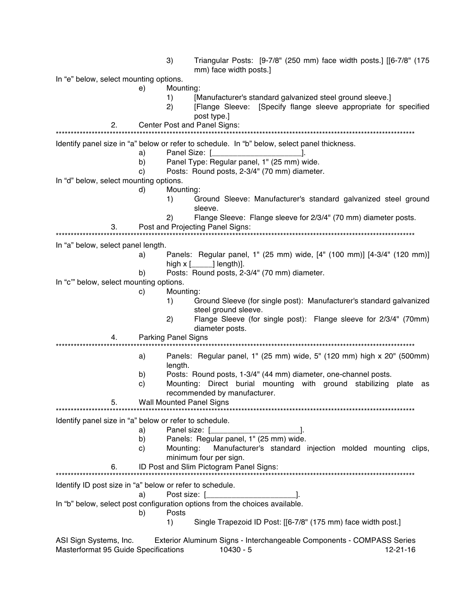| In "e" below, select mounting options.<br>Mounting:<br>e)<br>1)<br>[Manufacturer's standard galvanized steel ground sleeve.]<br>[Flange Sleeve: [Specify flange sleeve appropriate for specified<br>2)<br>post type.]<br>Center Post and Panel Signs:<br>2.<br>Identify panel size in "a" below or refer to schedule. In "b" below, select panel thickness.<br>Panel Size: [ <i>_________________</i><br>a)<br>Panel Type: Regular panel, 1" (25 mm) wide.<br>b)<br>Posts: Round posts, 2-3/4" (70 mm) diameter.<br>C)<br>In "d" below, select mounting options.<br>d)<br>Mounting:<br>1)<br>sleeve.<br>Flange Sleeve: Flange sleeve for 2/3/4" (70 mm) diameter posts.<br>(2)<br>Post and Projecting Panel Signs:<br>3.<br>In "a" below, select panel length.<br>Panels: Regular panel, 1" (25 mm) wide, [4" (100 mm)] [4-3/4" (120 mm)]<br>a)<br>Posts: Round posts, 2-3/4" (70 mm) diameter.<br>b)<br>In "c" below, select mounting options.<br>Mounting:<br>C)<br>Ground Sleeve (for single post): Manufacturer's standard galvanized<br>1)<br>steel ground sleeve.<br>Flange Sleeve (for single post): Flange sleeve for 2/3/4" (70mm)<br>2)<br>diameter posts.<br><b>Parking Panel Signs</b><br>4.<br>Panels: Regular panel, 1" (25 mm) wide, 5" (120 mm) high x 20" (500mm)<br>a)<br>length.<br>Posts: Round posts, 1-3/4" (44 mm) diameter, one-channel posts.<br>b)<br>Mounting: Direct burial mounting with ground stabilizing<br>$\mathbf{C}$<br>recommended by manufacturer.<br><b>Wall Mounted Panel Signs</b><br>5.<br>Identify panel size in "a" below or refer to schedule.<br>a)<br>Panels: Regular panel, 1" (25 mm) wide.<br>b)<br>C)<br>Mounting:<br>minimum four per sign.<br>ID Post and Slim Pictogram Panel Signs:<br>6.<br>Identify ID post size in "a" below or refer to schedule.<br>a)<br>In "b" below, select post configuration options from the choices available. |    | 3)    | Triangular Posts: [9-7/8" (250 mm) face width posts.] [[6-7/8" (175<br>mm) face width posts.] |
|---------------------------------------------------------------------------------------------------------------------------------------------------------------------------------------------------------------------------------------------------------------------------------------------------------------------------------------------------------------------------------------------------------------------------------------------------------------------------------------------------------------------------------------------------------------------------------------------------------------------------------------------------------------------------------------------------------------------------------------------------------------------------------------------------------------------------------------------------------------------------------------------------------------------------------------------------------------------------------------------------------------------------------------------------------------------------------------------------------------------------------------------------------------------------------------------------------------------------------------------------------------------------------------------------------------------------------------------------------------------------------------------------------------------------------------------------------------------------------------------------------------------------------------------------------------------------------------------------------------------------------------------------------------------------------------------------------------------------------------------------------------------------------------------------------------------------------------------------------------------------------------------------|----|-------|-----------------------------------------------------------------------------------------------|
|                                                                                                                                                                                                                                                                                                                                                                                                                                                                                                                                                                                                                                                                                                                                                                                                                                                                                                                                                                                                                                                                                                                                                                                                                                                                                                                                                                                                                                                                                                                                                                                                                                                                                                                                                                                                                                                                                                   |    |       |                                                                                               |
|                                                                                                                                                                                                                                                                                                                                                                                                                                                                                                                                                                                                                                                                                                                                                                                                                                                                                                                                                                                                                                                                                                                                                                                                                                                                                                                                                                                                                                                                                                                                                                                                                                                                                                                                                                                                                                                                                                   |    |       |                                                                                               |
|                                                                                                                                                                                                                                                                                                                                                                                                                                                                                                                                                                                                                                                                                                                                                                                                                                                                                                                                                                                                                                                                                                                                                                                                                                                                                                                                                                                                                                                                                                                                                                                                                                                                                                                                                                                                                                                                                                   |    |       |                                                                                               |
|                                                                                                                                                                                                                                                                                                                                                                                                                                                                                                                                                                                                                                                                                                                                                                                                                                                                                                                                                                                                                                                                                                                                                                                                                                                                                                                                                                                                                                                                                                                                                                                                                                                                                                                                                                                                                                                                                                   |    |       |                                                                                               |
|                                                                                                                                                                                                                                                                                                                                                                                                                                                                                                                                                                                                                                                                                                                                                                                                                                                                                                                                                                                                                                                                                                                                                                                                                                                                                                                                                                                                                                                                                                                                                                                                                                                                                                                                                                                                                                                                                                   |    |       |                                                                                               |
|                                                                                                                                                                                                                                                                                                                                                                                                                                                                                                                                                                                                                                                                                                                                                                                                                                                                                                                                                                                                                                                                                                                                                                                                                                                                                                                                                                                                                                                                                                                                                                                                                                                                                                                                                                                                                                                                                                   |    |       |                                                                                               |
|                                                                                                                                                                                                                                                                                                                                                                                                                                                                                                                                                                                                                                                                                                                                                                                                                                                                                                                                                                                                                                                                                                                                                                                                                                                                                                                                                                                                                                                                                                                                                                                                                                                                                                                                                                                                                                                                                                   |    |       |                                                                                               |
|                                                                                                                                                                                                                                                                                                                                                                                                                                                                                                                                                                                                                                                                                                                                                                                                                                                                                                                                                                                                                                                                                                                                                                                                                                                                                                                                                                                                                                                                                                                                                                                                                                                                                                                                                                                                                                                                                                   |    |       |                                                                                               |
|                                                                                                                                                                                                                                                                                                                                                                                                                                                                                                                                                                                                                                                                                                                                                                                                                                                                                                                                                                                                                                                                                                                                                                                                                                                                                                                                                                                                                                                                                                                                                                                                                                                                                                                                                                                                                                                                                                   |    |       |                                                                                               |
|                                                                                                                                                                                                                                                                                                                                                                                                                                                                                                                                                                                                                                                                                                                                                                                                                                                                                                                                                                                                                                                                                                                                                                                                                                                                                                                                                                                                                                                                                                                                                                                                                                                                                                                                                                                                                                                                                                   |    |       |                                                                                               |
|                                                                                                                                                                                                                                                                                                                                                                                                                                                                                                                                                                                                                                                                                                                                                                                                                                                                                                                                                                                                                                                                                                                                                                                                                                                                                                                                                                                                                                                                                                                                                                                                                                                                                                                                                                                                                                                                                                   |    |       |                                                                                               |
|                                                                                                                                                                                                                                                                                                                                                                                                                                                                                                                                                                                                                                                                                                                                                                                                                                                                                                                                                                                                                                                                                                                                                                                                                                                                                                                                                                                                                                                                                                                                                                                                                                                                                                                                                                                                                                                                                                   |    |       |                                                                                               |
|                                                                                                                                                                                                                                                                                                                                                                                                                                                                                                                                                                                                                                                                                                                                                                                                                                                                                                                                                                                                                                                                                                                                                                                                                                                                                                                                                                                                                                                                                                                                                                                                                                                                                                                                                                                                                                                                                                   |    |       | Ground Sleeve: Manufacturer's standard galvanized steel ground                                |
|                                                                                                                                                                                                                                                                                                                                                                                                                                                                                                                                                                                                                                                                                                                                                                                                                                                                                                                                                                                                                                                                                                                                                                                                                                                                                                                                                                                                                                                                                                                                                                                                                                                                                                                                                                                                                                                                                                   |    |       |                                                                                               |
|                                                                                                                                                                                                                                                                                                                                                                                                                                                                                                                                                                                                                                                                                                                                                                                                                                                                                                                                                                                                                                                                                                                                                                                                                                                                                                                                                                                                                                                                                                                                                                                                                                                                                                                                                                                                                                                                                                   |    |       |                                                                                               |
|                                                                                                                                                                                                                                                                                                                                                                                                                                                                                                                                                                                                                                                                                                                                                                                                                                                                                                                                                                                                                                                                                                                                                                                                                                                                                                                                                                                                                                                                                                                                                                                                                                                                                                                                                                                                                                                                                                   |    |       |                                                                                               |
|                                                                                                                                                                                                                                                                                                                                                                                                                                                                                                                                                                                                                                                                                                                                                                                                                                                                                                                                                                                                                                                                                                                                                                                                                                                                                                                                                                                                                                                                                                                                                                                                                                                                                                                                                                                                                                                                                                   |    |       |                                                                                               |
|                                                                                                                                                                                                                                                                                                                                                                                                                                                                                                                                                                                                                                                                                                                                                                                                                                                                                                                                                                                                                                                                                                                                                                                                                                                                                                                                                                                                                                                                                                                                                                                                                                                                                                                                                                                                                                                                                                   |    |       |                                                                                               |
|                                                                                                                                                                                                                                                                                                                                                                                                                                                                                                                                                                                                                                                                                                                                                                                                                                                                                                                                                                                                                                                                                                                                                                                                                                                                                                                                                                                                                                                                                                                                                                                                                                                                                                                                                                                                                                                                                                   |    |       |                                                                                               |
|                                                                                                                                                                                                                                                                                                                                                                                                                                                                                                                                                                                                                                                                                                                                                                                                                                                                                                                                                                                                                                                                                                                                                                                                                                                                                                                                                                                                                                                                                                                                                                                                                                                                                                                                                                                                                                                                                                   |    |       |                                                                                               |
|                                                                                                                                                                                                                                                                                                                                                                                                                                                                                                                                                                                                                                                                                                                                                                                                                                                                                                                                                                                                                                                                                                                                                                                                                                                                                                                                                                                                                                                                                                                                                                                                                                                                                                                                                                                                                                                                                                   |    |       |                                                                                               |
|                                                                                                                                                                                                                                                                                                                                                                                                                                                                                                                                                                                                                                                                                                                                                                                                                                                                                                                                                                                                                                                                                                                                                                                                                                                                                                                                                                                                                                                                                                                                                                                                                                                                                                                                                                                                                                                                                                   |    |       |                                                                                               |
|                                                                                                                                                                                                                                                                                                                                                                                                                                                                                                                                                                                                                                                                                                                                                                                                                                                                                                                                                                                                                                                                                                                                                                                                                                                                                                                                                                                                                                                                                                                                                                                                                                                                                                                                                                                                                                                                                                   |    |       |                                                                                               |
|                                                                                                                                                                                                                                                                                                                                                                                                                                                                                                                                                                                                                                                                                                                                                                                                                                                                                                                                                                                                                                                                                                                                                                                                                                                                                                                                                                                                                                                                                                                                                                                                                                                                                                                                                                                                                                                                                                   |    |       |                                                                                               |
|                                                                                                                                                                                                                                                                                                                                                                                                                                                                                                                                                                                                                                                                                                                                                                                                                                                                                                                                                                                                                                                                                                                                                                                                                                                                                                                                                                                                                                                                                                                                                                                                                                                                                                                                                                                                                                                                                                   |    |       |                                                                                               |
|                                                                                                                                                                                                                                                                                                                                                                                                                                                                                                                                                                                                                                                                                                                                                                                                                                                                                                                                                                                                                                                                                                                                                                                                                                                                                                                                                                                                                                                                                                                                                                                                                                                                                                                                                                                                                                                                                                   |    |       |                                                                                               |
|                                                                                                                                                                                                                                                                                                                                                                                                                                                                                                                                                                                                                                                                                                                                                                                                                                                                                                                                                                                                                                                                                                                                                                                                                                                                                                                                                                                                                                                                                                                                                                                                                                                                                                                                                                                                                                                                                                   |    |       |                                                                                               |
|                                                                                                                                                                                                                                                                                                                                                                                                                                                                                                                                                                                                                                                                                                                                                                                                                                                                                                                                                                                                                                                                                                                                                                                                                                                                                                                                                                                                                                                                                                                                                                                                                                                                                                                                                                                                                                                                                                   |    |       |                                                                                               |
|                                                                                                                                                                                                                                                                                                                                                                                                                                                                                                                                                                                                                                                                                                                                                                                                                                                                                                                                                                                                                                                                                                                                                                                                                                                                                                                                                                                                                                                                                                                                                                                                                                                                                                                                                                                                                                                                                                   |    |       | plate as                                                                                      |
|                                                                                                                                                                                                                                                                                                                                                                                                                                                                                                                                                                                                                                                                                                                                                                                                                                                                                                                                                                                                                                                                                                                                                                                                                                                                                                                                                                                                                                                                                                                                                                                                                                                                                                                                                                                                                                                                                                   |    |       |                                                                                               |
|                                                                                                                                                                                                                                                                                                                                                                                                                                                                                                                                                                                                                                                                                                                                                                                                                                                                                                                                                                                                                                                                                                                                                                                                                                                                                                                                                                                                                                                                                                                                                                                                                                                                                                                                                                                                                                                                                                   |    |       |                                                                                               |
|                                                                                                                                                                                                                                                                                                                                                                                                                                                                                                                                                                                                                                                                                                                                                                                                                                                                                                                                                                                                                                                                                                                                                                                                                                                                                                                                                                                                                                                                                                                                                                                                                                                                                                                                                                                                                                                                                                   |    |       |                                                                                               |
|                                                                                                                                                                                                                                                                                                                                                                                                                                                                                                                                                                                                                                                                                                                                                                                                                                                                                                                                                                                                                                                                                                                                                                                                                                                                                                                                                                                                                                                                                                                                                                                                                                                                                                                                                                                                                                                                                                   |    |       |                                                                                               |
|                                                                                                                                                                                                                                                                                                                                                                                                                                                                                                                                                                                                                                                                                                                                                                                                                                                                                                                                                                                                                                                                                                                                                                                                                                                                                                                                                                                                                                                                                                                                                                                                                                                                                                                                                                                                                                                                                                   |    |       |                                                                                               |
|                                                                                                                                                                                                                                                                                                                                                                                                                                                                                                                                                                                                                                                                                                                                                                                                                                                                                                                                                                                                                                                                                                                                                                                                                                                                                                                                                                                                                                                                                                                                                                                                                                                                                                                                                                                                                                                                                                   |    |       |                                                                                               |
|                                                                                                                                                                                                                                                                                                                                                                                                                                                                                                                                                                                                                                                                                                                                                                                                                                                                                                                                                                                                                                                                                                                                                                                                                                                                                                                                                                                                                                                                                                                                                                                                                                                                                                                                                                                                                                                                                                   |    |       |                                                                                               |
|                                                                                                                                                                                                                                                                                                                                                                                                                                                                                                                                                                                                                                                                                                                                                                                                                                                                                                                                                                                                                                                                                                                                                                                                                                                                                                                                                                                                                                                                                                                                                                                                                                                                                                                                                                                                                                                                                                   |    |       |                                                                                               |
|                                                                                                                                                                                                                                                                                                                                                                                                                                                                                                                                                                                                                                                                                                                                                                                                                                                                                                                                                                                                                                                                                                                                                                                                                                                                                                                                                                                                                                                                                                                                                                                                                                                                                                                                                                                                                                                                                                   |    |       |                                                                                               |
|                                                                                                                                                                                                                                                                                                                                                                                                                                                                                                                                                                                                                                                                                                                                                                                                                                                                                                                                                                                                                                                                                                                                                                                                                                                                                                                                                                                                                                                                                                                                                                                                                                                                                                                                                                                                                                                                                                   |    |       |                                                                                               |
|                                                                                                                                                                                                                                                                                                                                                                                                                                                                                                                                                                                                                                                                                                                                                                                                                                                                                                                                                                                                                                                                                                                                                                                                                                                                                                                                                                                                                                                                                                                                                                                                                                                                                                                                                                                                                                                                                                   |    |       |                                                                                               |
|                                                                                                                                                                                                                                                                                                                                                                                                                                                                                                                                                                                                                                                                                                                                                                                                                                                                                                                                                                                                                                                                                                                                                                                                                                                                                                                                                                                                                                                                                                                                                                                                                                                                                                                                                                                                                                                                                                   |    |       |                                                                                               |
| 1)<br>Single Trapezoid ID Post: [[6-7/8" (175 mm) face width post.]                                                                                                                                                                                                                                                                                                                                                                                                                                                                                                                                                                                                                                                                                                                                                                                                                                                                                                                                                                                                                                                                                                                                                                                                                                                                                                                                                                                                                                                                                                                                                                                                                                                                                                                                                                                                                               |    |       |                                                                                               |
|                                                                                                                                                                                                                                                                                                                                                                                                                                                                                                                                                                                                                                                                                                                                                                                                                                                                                                                                                                                                                                                                                                                                                                                                                                                                                                                                                                                                                                                                                                                                                                                                                                                                                                                                                                                                                                                                                                   |    |       |                                                                                               |
|                                                                                                                                                                                                                                                                                                                                                                                                                                                                                                                                                                                                                                                                                                                                                                                                                                                                                                                                                                                                                                                                                                                                                                                                                                                                                                                                                                                                                                                                                                                                                                                                                                                                                                                                                                                                                                                                                                   | b) | Posts | Manufacturer's standard injection molded mounting clips,                                      |

ASI Sign Systems, Inc. Exterior Aluminum Signs - Interchangeable Components - COMPASS Series Masterformat 95 Guide Specifications 10430 - 5 12-21-16 12-21-16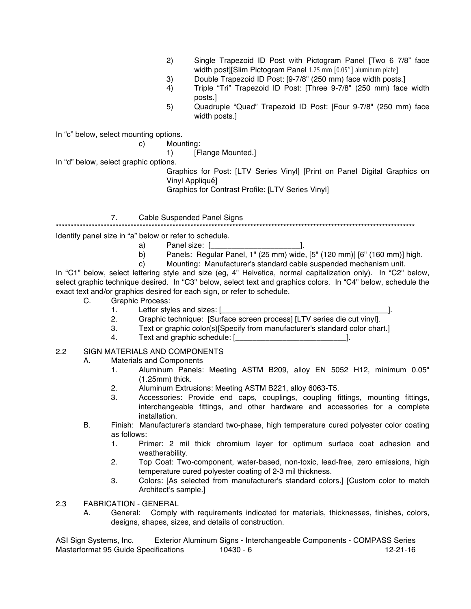- 2) Single Trapezoid ID Post with Pictogram Panel [Two 6 7/8" face width post][Slim Pictogram Panel 1.25 mm [0.05"] aluminum plate]
- 3) Double Trapezoid ID Post: [9-7/8" (250 mm) face width posts.]
- 4) Triple "Tri" Trapezoid ID Post: [Three 9-7/8" (250 mm) face width posts.]
- 5) Quadruple "Quad" Trapezoid ID Post: [Four 9-7/8" (250 mm) face width posts.]

In "c" below, select mounting options.

c) Mounting:

1) [Flange Mounted.]

In "d" below, select graphic options.

Graphics for Post: [LTV Series Vinyl] [Print on Panel Digital Graphics on Vinyl Appliqué]

Graphics for Contrast Profile: [LTV Series Vinyl]

7. Cable Suspended Panel Signs

\*\*\*\*\*\*\*\*\*\*\*\*\*\*\*\*\*\*\*\*\*\*\*\*\*\*\*\*\*\*\*\*\*\*\*\*\*\*\*\*\*\*\*\*\*\*\*\*\*\*\*\*\*\*\*\*\*\*\*\*\*\*\*\*\*\*\*\*\*\*\*\*\*\*\*\*\*\*\*\*\*\*\*\*\*\*\*\*\*\*\*\*\*\*\*\*\*\*\*\*\*\*\*\*\*\*\*\*\*\*\*\*\*\*\*\*\*\*\*\*

Identify panel size in "a" below or refer to schedule.

- a) Panel size: [\_\_\_\_\_\_\_\_\_\_\_\_\_\_\_\_\_\_\_\_\_].
	- b) Panels: Regular Panel, 1" (25 mm) wide, [5" (120 mm)] [6" (160 mm)] high.
	- c) Mounting: Manufacturer's standard cable suspended mechanism unit.

In "C1" below, select lettering style and size (eg, 4" Helvetica, normal capitalization only). In "C2" below, select graphic technique desired. In "C3" below, select text and graphics colors. In "C4" below, schedule the exact text and/or graphics desired for each sign, or refer to schedule.

- C. Graphic Process:
	-
	- 1. Letter styles and sizes: [\_\_\_\_\_\_\_\_\_\_\_\_\_\_\_\_\_\_\_\_\_\_\_\_\_\_\_\_\_\_\_\_\_\_\_\_\_\_\_].
	- 2. Graphic technique: [Surface screen process] [LTV series die cut vinyl]. 3. Text or graphic color(s)[Specify from manufacturer's standard color chart.]
	- 4. Text and graphic schedule: [\_\_\_\_\_\_\_\_\_\_\_\_\_\_\_\_\_\_\_\_\_\_\_\_\_\_].
	-

## 2.2 SIGN MATERIALS AND COMPONENTS

- A. Materials and Components
	- 1. Aluminum Panels: Meeting ASTM B209, alloy EN 5052 H12, minimum 0.05" (1.25mm) thick.
	- 2. Aluminum Extrusions: Meeting ASTM B221, alloy 6063-T5.
	- 3. Accessories: Provide end caps, couplings, coupling fittings, mounting fittings, interchangeable fittings, and other hardware and accessories for a complete installation.
- B. Finish: Manufacturer's standard two-phase, high temperature cured polyester color coating as follows:
	- 1. Primer: 2 mil thick chromium layer for optimum surface coat adhesion and weatherability.
	- 2. Top Coat: Two-component, water-based, non-toxic, lead-free, zero emissions, high temperature cured polyester coating of 2-3 mil thickness.
	- 3. Colors: [As selected from manufacturer's standard colors.] [Custom color to match Architect's sample.]
- 2.3 FABRICATION GENERAL
	- A. General: Comply with requirements indicated for materials, thicknesses, finishes, colors, designs, shapes, sizes, and details of construction.

ASI Sign Systems, Inc. Exterior Aluminum Signs - Interchangeable Components - COMPASS Series Masterformat 95 Guide Specifications 10430 - 6 12-21-16 12-21-16